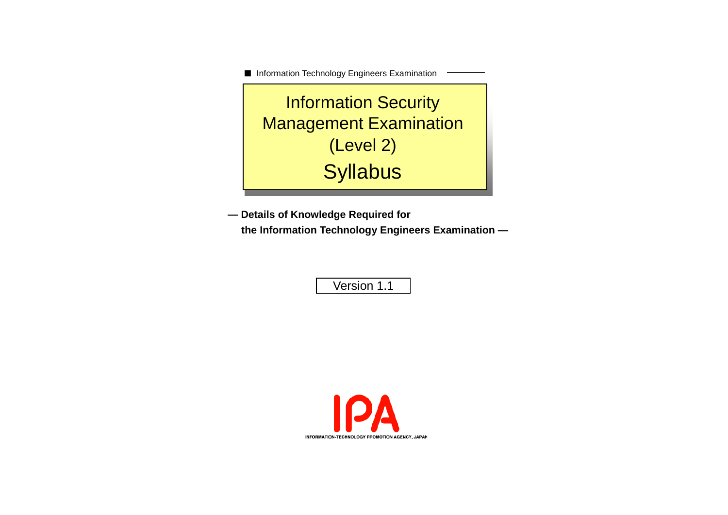■ Information Technology Engineers Examination

Information Security Management Examination (Level 2) **Syllabus** 

**— Details of Knowledge Required for the Information Technology Engineers Examination —**

Version 1.1

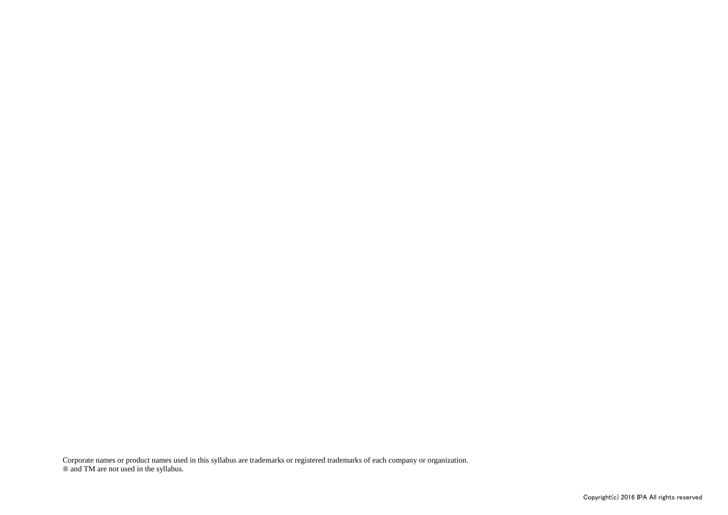Corporate names or product names used in this syllabus are trademarks or registered trademarks of each company or organization. ® and TM are not used in the syllabus.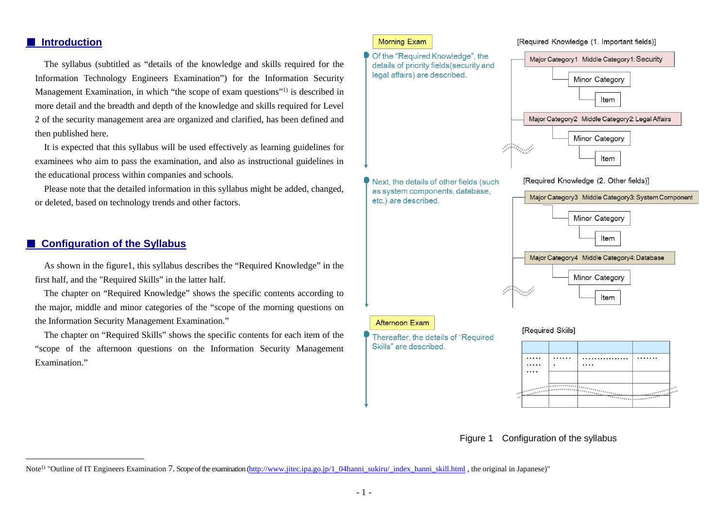#### ■ **Introduction**

The syllabus (subtitled as "details of the knowledge and skills required for the Information Technology Engineers Examination") for the Information Security Management Examination, in which "the scope of exam questions"1) is described in more detail and the breadth and depth of the knowledge and skills required for Level 2 of the security management area are organized and clarified, has been defined and then published here.

It is expected that this syllabus will be used effectively as learning guidelines for examinees who aim to pass the examination, and also as instructional guidelines in the educational process within companies and schools.

Please note that the detailed information in this syllabus might be added, changed, or deleted, based on technology trends and other factors.

#### ■ **Configuration of the Syllabus**

As shown in the figure1, this syllabus describes the "Required Knowledge" in the first half, and the "Required Skills" in the latter half.

The chapter on "Required Knowledge" shows the specific contents according to the major, middle and minor categories of the "scope of the morning questions on the Information Security Management Examination."

The chapter on "Required Skills" shows the specific contents for each item of the "scope of the afternoon questions on the Information Security Management Examination<sup>"</sup>

#### Morning Exam

Of the "Required Knowledge", the Major Category1 Middle Category1: Security details of priority fields (security and legal affairs) are described. Minor Category Item Major Category2 Middle Category2: Legal Affairs Minor Category Item Next, the details of other fields (such [Required Knowledge (2. Other fields)] as system components, database, Major Category3 Middle Category3: System Component etc.) are described. Minor Category Item Major Category4 Middle Category4: Database Minor Category Item Afternoon Exam [Required Skiils] Thereafter, the details of "Required" Skills" are described.  $1.1.1.1$ . . . . . . . . . . . . . . . . . . . . . . . . . . . . . . . . . .  $\mathbf{r}$  $\cdots$  $\cdots$ . . . . . . . . . *.* . . . . . .

[Required Knowledge (1. Important fields)]

Figure 1 Configuration of the syllabus

Note<sup>1)</sup> "Outline of IT Engineers Examination 7. Scope of the examination [\(http://www.jitec.ipa.go.jp/1\\_04hanni\\_sukiru/\\_index\\_hanni\\_skill.html](http://www.jitec.ipa.go.jp/1_04hanni_sukiru/_index_hanni_skill.html) , the original in Japanese)"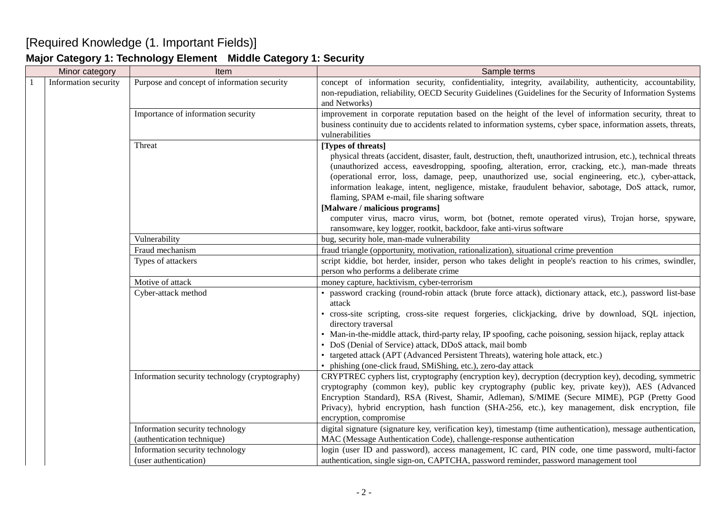# [Required Knowledge (1. Important Fields)]

### **Major Category 1: Technology Element Middle Category 1: Security**

|              | Minor category       | Item                                                     | Sample terms                                                                                                                                                                                                                                                                                                                                                                                                                                                                                                                                                                                                                                                                                                          |
|--------------|----------------------|----------------------------------------------------------|-----------------------------------------------------------------------------------------------------------------------------------------------------------------------------------------------------------------------------------------------------------------------------------------------------------------------------------------------------------------------------------------------------------------------------------------------------------------------------------------------------------------------------------------------------------------------------------------------------------------------------------------------------------------------------------------------------------------------|
| $\mathbf{1}$ | Information security | Purpose and concept of information security              | concept of information security, confidentiality, integrity, availability, authenticity, accountability,<br>non-repudiation, reliability, OECD Security Guidelines (Guidelines for the Security of Information Systems<br>and Networks)                                                                                                                                                                                                                                                                                                                                                                                                                                                                               |
|              |                      | Importance of information security                       | improvement in corporate reputation based on the height of the level of information security, threat to<br>business continuity due to accidents related to information systems, cyber space, information assets, threats,<br>vulnerabilities                                                                                                                                                                                                                                                                                                                                                                                                                                                                          |
|              |                      | Threat                                                   | [Types of threats]<br>physical threats (accident, disaster, fault, destruction, theft, unauthorized intrusion, etc.), technical threats<br>(unauthorized access, eavesdropping, spoofing, alteration, error, cracking, etc.), man-made threats<br>(operational error, loss, damage, peep, unauthorized use, social engineering, etc.), cyber-attack,<br>information leakage, intent, negligence, mistake, fraudulent behavior, sabotage, DoS attack, rumor,<br>flaming, SPAM e-mail, file sharing software<br>[Malware / malicious programs]<br>computer virus, macro virus, worm, bot (botnet, remote operated virus), Trojan horse, spyware,<br>ransomware, key logger, rootkit, backdoor, fake anti-virus software |
|              |                      | Vulnerability                                            | bug, security hole, man-made vulnerability                                                                                                                                                                                                                                                                                                                                                                                                                                                                                                                                                                                                                                                                            |
|              |                      | Fraud mechanism                                          | fraud triangle (opportunity, motivation, rationalization), situational crime prevention                                                                                                                                                                                                                                                                                                                                                                                                                                                                                                                                                                                                                               |
|              |                      | Types of attackers                                       | script kiddie, bot herder, insider, person who takes delight in people's reaction to his crimes, swindler,<br>person who performs a deliberate crime                                                                                                                                                                                                                                                                                                                                                                                                                                                                                                                                                                  |
|              |                      | Motive of attack                                         | money capture, hacktivism, cyber-terrorism                                                                                                                                                                                                                                                                                                                                                                                                                                                                                                                                                                                                                                                                            |
|              |                      | Cyber-attack method                                      | • password cracking (round-robin attack (brute force attack), dictionary attack, etc.), password list-base<br>attack<br>· cross-site scripting, cross-site request forgeries, clickjacking, drive by download, SQL injection,<br>directory traversal<br>• Man-in-the-middle attack, third-party relay, IP spoofing, cache poisoning, session hijack, replay attack<br>• DoS (Denial of Service) attack, DDoS attack, mail bomb<br>• targeted attack (APT (Advanced Persistent Threats), watering hole attack, etc.)<br>• phishing (one-click fraud, SMiShing, etc.), zero-day attack                                                                                                                                  |
|              |                      | Information security technology (cryptography)           | CRYPTREC cyphers list, cryptography (encryption key), decryption (decryption key), decoding, symmetric<br>cryptography (common key), public key cryptography (public key, private key)), AES (Advanced<br>Encryption Standard), RSA (Rivest, Shamir, Adleman), S/MIME (Secure MIME), PGP (Pretty Good<br>Privacy), hybrid encryption, hash function (SHA-256, etc.), key management, disk encryption, file<br>encryption, compromise                                                                                                                                                                                                                                                                                  |
|              |                      | Information security technology                          | digital signature (signature key, verification key), timestamp (time authentication), message authentication,                                                                                                                                                                                                                                                                                                                                                                                                                                                                                                                                                                                                         |
|              |                      | (authentication technique)                               | MAC (Message Authentication Code), challenge-response authentication                                                                                                                                                                                                                                                                                                                                                                                                                                                                                                                                                                                                                                                  |
|              |                      | Information security technology<br>(user authentication) | login (user ID and password), access management, IC card, PIN code, one time password, multi-factor<br>authentication, single sign-on, CAPTCHA, password reminder, password management tool                                                                                                                                                                                                                                                                                                                                                                                                                                                                                                                           |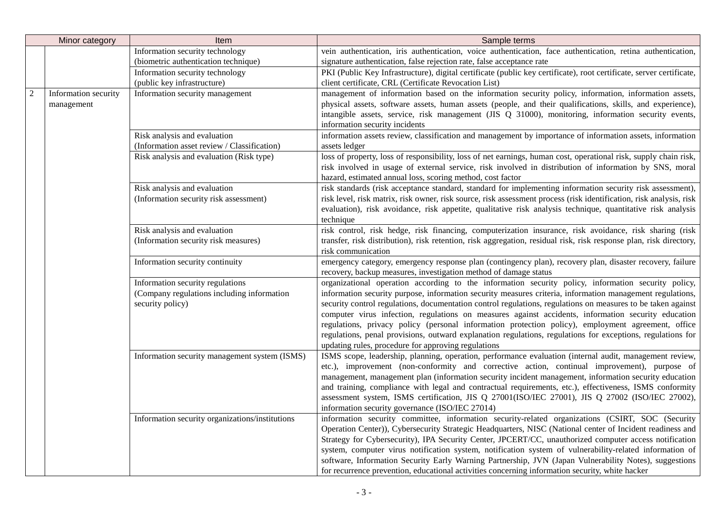|                | Minor category       | Item                                            | Sample terms                                                                                                                                                       |
|----------------|----------------------|-------------------------------------------------|--------------------------------------------------------------------------------------------------------------------------------------------------------------------|
|                |                      | Information security technology                 | vein authentication, iris authentication, voice authentication, face authentication, retina authentication,                                                        |
|                |                      | (biometric authentication technique)            | signature authentication, false rejection rate, false acceptance rate                                                                                              |
|                |                      | Information security technology                 | PKI (Public Key Infrastructure), digital certificate (public key certificate), root certificate, server certificate,                                               |
|                |                      | (public key infrastructure)                     | client certificate, CRL (Certificate Revocation List)                                                                                                              |
| $\mathfrak{2}$ | Information security | Information security management                 | management of information based on the information security policy, information, information assets,                                                               |
|                | management           |                                                 | physical assets, software assets, human assets (people, and their qualifications, skills, and experience),                                                         |
|                |                      |                                                 | intangible assets, service, risk management (JIS Q 31000), monitoring, information security events,                                                                |
|                |                      |                                                 | information security incidents                                                                                                                                     |
|                |                      | Risk analysis and evaluation                    | information assets review, classification and management by importance of information assets, information                                                          |
|                |                      | (Information asset review / Classification)     | assets ledger                                                                                                                                                      |
|                |                      | Risk analysis and evaluation (Risk type)        | loss of property, loss of responsibility, loss of net earnings, human cost, operational risk, supply chain risk,                                                   |
|                |                      |                                                 | risk involved in usage of external service, risk involved in distribution of information by SNS, moral                                                             |
|                |                      |                                                 | hazard, estimated annual loss, scoring method, cost factor                                                                                                         |
|                |                      | Risk analysis and evaluation                    | risk standards (risk acceptance standard, standard for implementing information security risk assessment),                                                         |
|                |                      | (Information security risk assessment)          | risk level, risk matrix, risk owner, risk source, risk assessment process (risk identification, risk analysis, risk                                                |
|                |                      |                                                 | evaluation), risk avoidance, risk appetite, qualitative risk analysis technique, quantitative risk analysis                                                        |
|                |                      |                                                 | technique                                                                                                                                                          |
|                |                      | Risk analysis and evaluation                    | risk control, risk hedge, risk financing, computerization insurance, risk avoidance, risk sharing (risk                                                            |
|                |                      | (Information security risk measures)            | transfer, risk distribution), risk retention, risk aggregation, residual risk, risk response plan, risk directory,                                                 |
|                |                      |                                                 | risk communication                                                                                                                                                 |
|                |                      | Information security continuity                 | emergency category, emergency response plan (contingency plan), recovery plan, disaster recovery, failure                                                          |
|                |                      |                                                 | recovery, backup measures, investigation method of damage status                                                                                                   |
|                |                      | Information security regulations                | organizational operation according to the information security policy, information security policy,                                                                |
|                |                      | (Company regulations including information      | information security purpose, information security measures criteria, information management regulations,                                                          |
|                |                      | security policy)                                | security control regulations, documentation control regulations, regulations on measures to be taken against                                                       |
|                |                      |                                                 | computer virus infection, regulations on measures against accidents, information security education                                                                |
|                |                      |                                                 | regulations, privacy policy (personal information protection policy), employment agreement, office                                                                 |
|                |                      |                                                 | regulations, penal provisions, outward explanation regulations, regulations for exceptions, regulations for<br>updating rules, procedure for approving regulations |
|                |                      | Information security management system (ISMS)   | ISMS scope, leadership, planning, operation, performance evaluation (internal audit, management review,                                                            |
|                |                      |                                                 | etc.), improvement (non-conformity and corrective action, continual improvement), purpose of                                                                       |
|                |                      |                                                 | management, management plan (information security incident management, information security education                                                              |
|                |                      |                                                 | and training, compliance with legal and contractual requirements, etc.), effectiveness, ISMS conformity                                                            |
|                |                      |                                                 | assessment system, ISMS certification, JIS Q 27001(ISO/IEC 27001), JIS Q 27002 (ISO/IEC 27002),                                                                    |
|                |                      |                                                 | information security governance (ISO/IEC 27014)                                                                                                                    |
|                |                      | Information security organizations/institutions | information security committee, information security-related organizations (CSIRT, SOC (Security                                                                   |
|                |                      |                                                 | Operation Center)), Cybersecurity Strategic Headquarters, NISC (National center of Incident readiness and                                                          |
|                |                      |                                                 | Strategy for Cybersecurity), IPA Security Center, JPCERT/CC, unauthorized computer access notification                                                             |
|                |                      |                                                 | system, computer virus notification system, notification system of vulnerability-related information of                                                            |
|                |                      |                                                 | software, Information Security Early Warning Partnership, JVN (Japan Vulnerability Notes), suggestions                                                             |
|                |                      |                                                 | for recurrence prevention, educational activities concerning information security, white hacker                                                                    |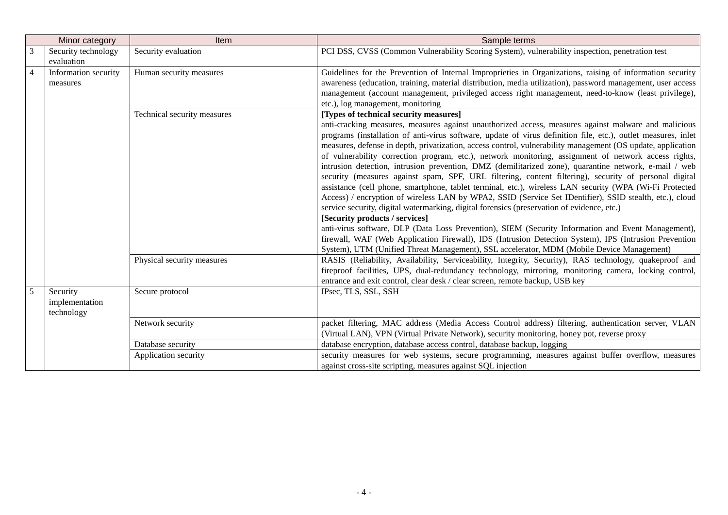|   | Minor category                                              | <b>Item</b>                 | Sample terms                                                                                                                                                                                                                                                                                                                                                                                                                                                                                                                                                                                                                                                                                                                                                                                                                                                                                                                                                                                                                                                                                                                                                                                                                                                                                                                                                               |
|---|-------------------------------------------------------------|-----------------------------|----------------------------------------------------------------------------------------------------------------------------------------------------------------------------------------------------------------------------------------------------------------------------------------------------------------------------------------------------------------------------------------------------------------------------------------------------------------------------------------------------------------------------------------------------------------------------------------------------------------------------------------------------------------------------------------------------------------------------------------------------------------------------------------------------------------------------------------------------------------------------------------------------------------------------------------------------------------------------------------------------------------------------------------------------------------------------------------------------------------------------------------------------------------------------------------------------------------------------------------------------------------------------------------------------------------------------------------------------------------------------|
|   | Security technology<br>evaluation                           | Security evaluation         | PCI DSS, CVSS (Common Vulnerability Scoring System), vulnerability inspection, penetration test                                                                                                                                                                                                                                                                                                                                                                                                                                                                                                                                                                                                                                                                                                                                                                                                                                                                                                                                                                                                                                                                                                                                                                                                                                                                            |
| 4 | Information security<br>Human security measures<br>measures |                             | Guidelines for the Prevention of Internal Improprieties in Organizations, raising of information security<br>awareness (education, training, material distribution, media utilization), password management, user access<br>management (account management, privileged access right management, need-to-know (least privilege),<br>etc.), log management, monitoring                                                                                                                                                                                                                                                                                                                                                                                                                                                                                                                                                                                                                                                                                                                                                                                                                                                                                                                                                                                                       |
|   |                                                             | Technical security measures | [Types of technical security measures]<br>anti-cracking measures, measures against unauthorized access, measures against malware and malicious<br>programs (installation of anti-virus software, update of virus definition file, etc.), outlet measures, inlet<br>measures, defense in depth, privatization, access control, vulnerability management (OS update, application<br>of vulnerability correction program, etc.), network monitoring, assignment of network access rights,<br>intrusion detection, intrusion prevention, DMZ (demilitarized zone), quarantine network, e-mail / web<br>security (measures against spam, SPF, URL filtering, content filtering), security of personal digital<br>assistance (cell phone, smartphone, tablet terminal, etc.), wireless LAN security (WPA (Wi-Fi Protected<br>Access) / encryption of wireless LAN by WPA2, SSID (Service Set IDentifier), SSID stealth, etc.), cloud<br>service security, digital watermarking, digital forensics (preservation of evidence, etc.)<br>[Security products / services]<br>anti-virus software, DLP (Data Loss Prevention), SIEM (Security Information and Event Management),<br>firewall, WAF (Web Application Firewall), IDS (Intrusion Detection System), IPS (Intrusion Prevention<br>System), UTM (Unified Threat Management), SSL accelerator, MDM (Mobile Device Management) |
|   |                                                             | Physical security measures  | RASIS (Reliability, Availability, Serviceability, Integrity, Security), RAS technology, quakeproof and<br>fireproof facilities, UPS, dual-redundancy technology, mirroring, monitoring camera, locking control,<br>entrance and exit control, clear desk / clear screen, remote backup, USB key                                                                                                                                                                                                                                                                                                                                                                                                                                                                                                                                                                                                                                                                                                                                                                                                                                                                                                                                                                                                                                                                            |
|   | Security<br>implementation<br>technology                    | Secure protocol             | IPsec, TLS, SSL, SSH                                                                                                                                                                                                                                                                                                                                                                                                                                                                                                                                                                                                                                                                                                                                                                                                                                                                                                                                                                                                                                                                                                                                                                                                                                                                                                                                                       |
|   |                                                             | Network security            | packet filtering, MAC address (Media Access Control address) filtering, authentication server, VLAN<br>(Virtual LAN), VPN (Virtual Private Network), security monitoring, honey pot, reverse proxy                                                                                                                                                                                                                                                                                                                                                                                                                                                                                                                                                                                                                                                                                                                                                                                                                                                                                                                                                                                                                                                                                                                                                                         |
|   |                                                             | Database security           | database encryption, database access control, database backup, logging                                                                                                                                                                                                                                                                                                                                                                                                                                                                                                                                                                                                                                                                                                                                                                                                                                                                                                                                                                                                                                                                                                                                                                                                                                                                                                     |
|   |                                                             | Application security        | security measures for web systems, secure programming, measures against buffer overflow, measures<br>against cross-site scripting, measures against SQL injection                                                                                                                                                                                                                                                                                                                                                                                                                                                                                                                                                                                                                                                                                                                                                                                                                                                                                                                                                                                                                                                                                                                                                                                                          |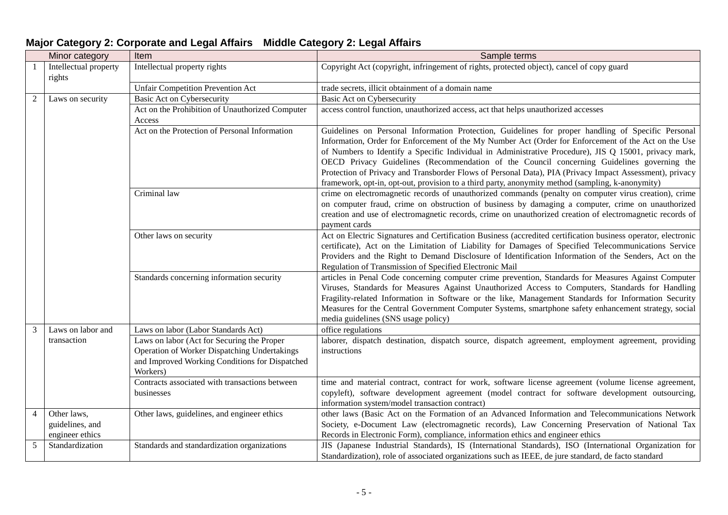|   | Minor category                                    | Item                                                                                                                                                     | Sample terms                                                                                                                                                                                                                                                                                                                                                                                                                                                                                                                                                                                                                     |
|---|---------------------------------------------------|----------------------------------------------------------------------------------------------------------------------------------------------------------|----------------------------------------------------------------------------------------------------------------------------------------------------------------------------------------------------------------------------------------------------------------------------------------------------------------------------------------------------------------------------------------------------------------------------------------------------------------------------------------------------------------------------------------------------------------------------------------------------------------------------------|
|   | Intellectual property<br>rights                   | Intellectual property rights                                                                                                                             | Copyright Act (copyright, infringement of rights, protected object), cancel of copy guard                                                                                                                                                                                                                                                                                                                                                                                                                                                                                                                                        |
|   |                                                   | <b>Unfair Competition Prevention Act</b>                                                                                                                 | trade secrets, illicit obtainment of a domain name                                                                                                                                                                                                                                                                                                                                                                                                                                                                                                                                                                               |
| 2 | Laws on security                                  | <b>Basic Act on Cybersecurity</b>                                                                                                                        | <b>Basic Act on Cybersecurity</b>                                                                                                                                                                                                                                                                                                                                                                                                                                                                                                                                                                                                |
|   |                                                   | Act on the Prohibition of Unauthorized Computer<br>Access                                                                                                | access control function, unauthorized access, act that helps unauthorized accesses                                                                                                                                                                                                                                                                                                                                                                                                                                                                                                                                               |
|   |                                                   | Act on the Protection of Personal Information                                                                                                            | Guidelines on Personal Information Protection, Guidelines for proper handling of Specific Personal<br>Information, Order for Enforcement of the My Number Act (Order for Enforcement of the Act on the Use<br>of Numbers to Identify a Specific Individual in Administrative Procedure), JIS Q 15001, privacy mark,<br>OECD Privacy Guidelines (Recommendation of the Council concerning Guidelines governing the<br>Protection of Privacy and Transborder Flows of Personal Data), PIA (Privacy Impact Assessment), privacy<br>framework, opt-in, opt-out, provision to a third party, anonymity method (sampling, k-anonymity) |
|   |                                                   | Criminal law                                                                                                                                             | crime on electromagnetic records of unauthorized commands (penalty on computer virus creation), crime<br>on computer fraud, crime on obstruction of business by damaging a computer, crime on unauthorized<br>creation and use of electromagnetic records, crime on unauthorized creation of electromagnetic records of<br>payment cards                                                                                                                                                                                                                                                                                         |
|   |                                                   | Other laws on security                                                                                                                                   | Act on Electric Signatures and Certification Business (accredited certification business operator, electronic<br>certificate), Act on the Limitation of Liability for Damages of Specified Telecommunications Service<br>Providers and the Right to Demand Disclosure of Identification Information of the Senders, Act on the<br>Regulation of Transmission of Specified Electronic Mail                                                                                                                                                                                                                                        |
|   |                                                   | Standards concerning information security                                                                                                                | articles in Penal Code concerning computer crime prevention, Standards for Measures Against Computer<br>Viruses, Standards for Measures Against Unauthorized Access to Computers, Standards for Handling<br>Fragility-related Information in Software or the like, Management Standards for Information Security<br>Measures for the Central Government Computer Systems, smartphone safety enhancement strategy, social<br>media guidelines (SNS usage policy)                                                                                                                                                                  |
| 3 | Laws on labor and                                 | Laws on labor (Labor Standards Act)                                                                                                                      | office regulations                                                                                                                                                                                                                                                                                                                                                                                                                                                                                                                                                                                                               |
|   | transaction                                       | Laws on labor (Act for Securing the Proper<br>Operation of Worker Dispatching Undertakings<br>and Improved Working Conditions for Dispatched<br>Workers) | laborer, dispatch destination, dispatch source, dispatch agreement, employment agreement, providing<br>instructions                                                                                                                                                                                                                                                                                                                                                                                                                                                                                                              |
|   |                                                   | Contracts associated with transactions between<br>businesses                                                                                             | time and material contract, contract for work, software license agreement (volume license agreement,<br>copyleft), software development agreement (model contract for software development outsourcing,<br>information system/model transaction contract)                                                                                                                                                                                                                                                                                                                                                                        |
| 4 | Other laws,<br>guidelines, and<br>engineer ethics | Other laws, guidelines, and engineer ethics                                                                                                              | other laws (Basic Act on the Formation of an Advanced Information and Telecommunications Network<br>Society, e-Document Law (electromagnetic records), Law Concerning Preservation of National Tax<br>Records in Electronic Form), compliance, information ethics and engineer ethics                                                                                                                                                                                                                                                                                                                                            |
| 5 | Standardization                                   | Standards and standardization organizations                                                                                                              | JIS (Japanese Industrial Standards), IS (International Standards), ISO (International Organization for<br>Standardization), role of associated organizations such as IEEE, de jure standard, de facto standard                                                                                                                                                                                                                                                                                                                                                                                                                   |

## **Major Category 2: Corporate and Legal Affairs Middle Category 2: Legal Affairs**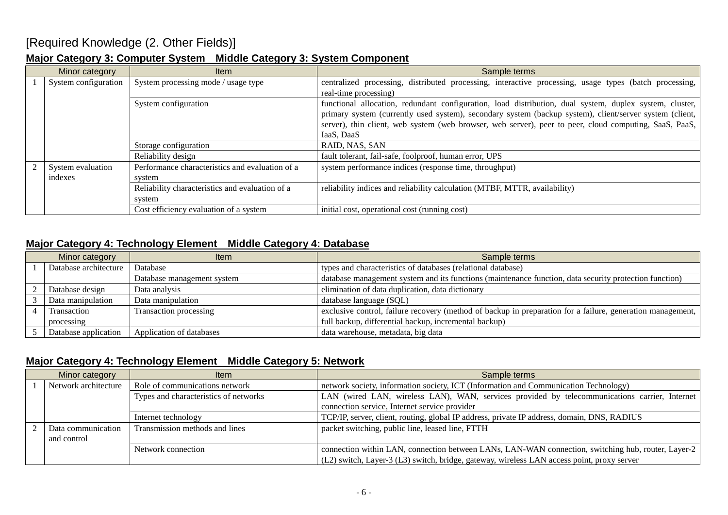### [Required Knowledge (2. Other Fields)]

### **Major Category 3: Computer System Middle Category 3: System Component**

| Minor category       | ltem                                            | Sample terms                                                                                            |
|----------------------|-------------------------------------------------|---------------------------------------------------------------------------------------------------------|
| System configuration | System processing mode / usage type             | centralized processing, distributed processing, interactive processing, usage types (batch processing,  |
|                      |                                                 | real-time processing)                                                                                   |
|                      | System configuration                            | functional allocation, redundant configuration, load distribution, dual system, duplex system, cluster, |
|                      |                                                 | primary system (currently used system), secondary system (backup system), client/server system (client, |
|                      |                                                 | server), thin client, web system (web browser, web server), peer to peer, cloud computing, SaaS, PaaS,  |
|                      |                                                 | IaaS, DaaS                                                                                              |
|                      | Storage configuration                           | RAID, NAS, SAN                                                                                          |
|                      | Reliability design                              | fault tolerant, fail-safe, foolproof, human error, UPS                                                  |
| System evaluation    | Performance characteristics and evaluation of a | system performance indices (response time, throughput)                                                  |
| indexes              | system                                          |                                                                                                         |
|                      | Reliability characteristics and evaluation of a | reliability indices and reliability calculation (MTBF, MTTR, availability)                              |
|                      | system                                          |                                                                                                         |
|                      | Cost efficiency evaluation of a system          | initial cost, operational cost (running cost)                                                           |

### **Major Category 4: Technology Element Middle Category 4: Database**

| Minor category |                       | <b>Item</b>                | Sample terms                                                                                               |
|----------------|-----------------------|----------------------------|------------------------------------------------------------------------------------------------------------|
|                | Database architecture | Database                   | types and characteristics of databases (relational database)                                               |
|                |                       | Database management system | database management system and its functions (maintenance function, data security protection function)     |
|                | Database design       | Data analysis              | elimination of data duplication, data dictionary                                                           |
|                | Data manipulation     | Data manipulation          | database language (SQL)                                                                                    |
|                | Transaction           | Transaction processing     | exclusive control, failure recovery (method of backup in preparation for a failure, generation management, |
|                | processing            |                            | full backup, differential backup, incremental backup)                                                      |
|                | Database application  | Application of databases   | data warehouse, metadata, big data                                                                         |

### **Major Category 4: Technology Element Middle Category 5: Network**

| Minor category |                      | <b>Item</b>                           | Sample terms                                                                                       |
|----------------|----------------------|---------------------------------------|----------------------------------------------------------------------------------------------------|
|                | Network architecture | Role of communications network        | network society, information society, ICT (Information and Communication Technology)               |
|                |                      | Types and characteristics of networks | LAN (wired LAN, wireless LAN), WAN, services provided by telecommunications carrier, Internet      |
|                |                      |                                       | connection service, Internet service provider                                                      |
|                |                      | Internet technology                   | TCP/IP, server, client, routing, global IP address, private IP address, domain, DNS, RADIUS        |
|                | Data communication   | Transmission methods and lines        | packet switching, public line, leased line, FTTH                                                   |
|                | and control          |                                       |                                                                                                    |
|                |                      | Network connection                    | connection within LAN, connection between LANs, LAN-WAN connection, switching hub, router, Layer-2 |
|                |                      |                                       | (L2) switch, Layer-3 (L3) switch, bridge, gateway, wireless LAN access point, proxy server         |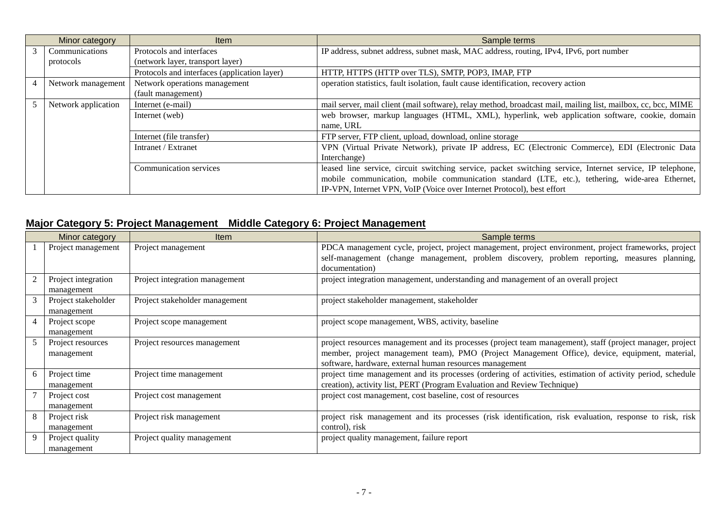| Minor category      | <b>Item</b>                                  | Sample terms                                                                                                 |
|---------------------|----------------------------------------------|--------------------------------------------------------------------------------------------------------------|
| Communications      | Protocols and interfaces                     | IP address, subnet address, subnet mask, MAC address, routing, IPv4, IPv6, port number                       |
| protocols           | (network layer, transport layer)             |                                                                                                              |
|                     | Protocols and interfaces (application layer) | HTTP, HTTPS (HTTP over TLS), SMTP, POP3, IMAP, FTP                                                           |
| Network management  | Network operations management                | operation statistics, fault isolation, fault cause identification, recovery action                           |
|                     | (fault management)                           |                                                                                                              |
| Network application | Internet (e-mail)                            | mail server, mail client (mail software), relay method, broadcast mail, mailing list, mailbox, cc, bcc, MIME |
|                     | Internet (web)                               | web browser, markup languages (HTML, XML), hyperlink, web application software, cookie, domain               |
|                     |                                              | name, URL                                                                                                    |
|                     | Internet (file transfer)                     | FTP server, FTP client, upload, download, online storage                                                     |
|                     | Intranet / Extranet                          | VPN (Virtual Private Network), private IP address, EC (Electronic Commerce), EDI (Electronic Data            |
|                     |                                              | Interchange)                                                                                                 |
|                     | <b>Communication services</b>                | leased line service, circuit switching service, packet switching service, Internet service, IP telephone,    |
|                     |                                              | mobile communication, mobile communication standard (LTE, etc.), tethering, wide-area Ethernet,              |
|                     |                                              | IP-VPN, Internet VPN, VoIP (Voice over Internet Protocol), best effort                                       |

### **Major Category 5: Project Management Middle Category 6: Project Management**

|   | Minor category                    | Item                           | Sample terms                                                                                                                                                                                                                                                            |
|---|-----------------------------------|--------------------------------|-------------------------------------------------------------------------------------------------------------------------------------------------------------------------------------------------------------------------------------------------------------------------|
|   | Project management                | Project management             | PDCA management cycle, project, project management, project environment, project frameworks, project<br>self-management (change management, problem discovery, problem reporting, measures planning,<br>documentation)                                                  |
|   | Project integration<br>management | Project integration management | project integration management, understanding and management of an overall project                                                                                                                                                                                      |
|   | Project stakeholder<br>management | Project stakeholder management | project stakeholder management, stakeholder                                                                                                                                                                                                                             |
|   | Project scope<br>management       | Project scope management       | project scope management, WBS, activity, baseline                                                                                                                                                                                                                       |
|   | Project resources<br>management   | Project resources management   | project resources management and its processes (project team management), staff (project manager, project<br>member, project management team), PMO (Project Management Office), device, equipment, material,<br>software, hardware, external human resources management |
| 6 | Project time<br>management        | Project time management        | project time management and its processes (ordering of activities, estimation of activity period, schedule<br>creation), activity list, PERT (Program Evaluation and Review Technique)                                                                                  |
|   | Project cost<br>management        | Project cost management        | project cost management, cost baseline, cost of resources                                                                                                                                                                                                               |
|   | Project risk<br>management        | Project risk management        | project risk management and its processes (risk identification, risk evaluation, response to risk, risk<br>control), risk                                                                                                                                               |
|   | Project quality<br>management     | Project quality management     | project quality management, failure report                                                                                                                                                                                                                              |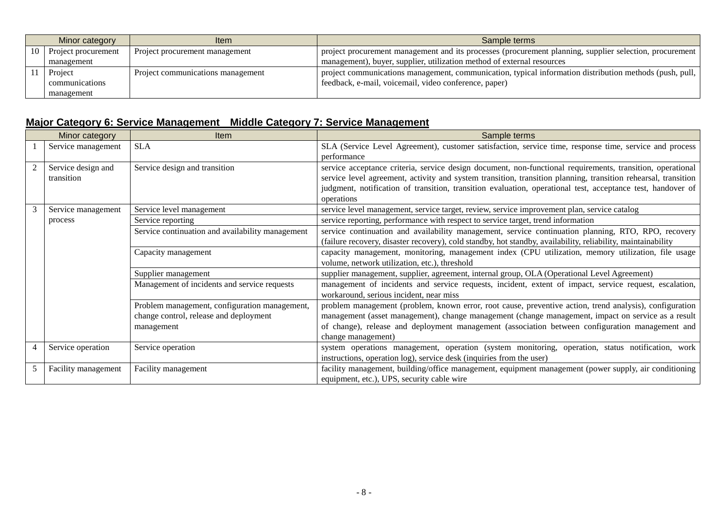|    | Minor category      | ltem                              | Sample terms                                                                                            |
|----|---------------------|-----------------------------------|---------------------------------------------------------------------------------------------------------|
| 10 | Project procurement | Project procurement management    | project procurement management and its processes (procurement planning, supplier selection, procurement |
|    | management          |                                   | management), buyer, supplier, utilization method of external resources                                  |
|    | Project             | Project communications management | project communications management, communication, typical information distribution methods (push, pull, |
|    | communications      |                                   | feedback, e-mail, voicemail, video conference, paper)                                                   |
|    | management          |                                   |                                                                                                         |

## **Major Category 6: Service Management Middle Category 7: Service Management**

|   | Minor category                   | Item                                                                                                  | Sample terms                                                                                                                                                                                                                                                                                                                                              |
|---|----------------------------------|-------------------------------------------------------------------------------------------------------|-----------------------------------------------------------------------------------------------------------------------------------------------------------------------------------------------------------------------------------------------------------------------------------------------------------------------------------------------------------|
|   | Service management               | <b>SLA</b>                                                                                            | SLA (Service Level Agreement), customer satisfaction, service time, response time, service and process<br>performance                                                                                                                                                                                                                                     |
|   | Service design and<br>transition | Service design and transition                                                                         | service acceptance criteria, service design document, non-functional requirements, transition, operational<br>service level agreement, activity and system transition, transition planning, transition rehearsal, transition<br>judgment, notification of transition, transition evaluation, operational test, acceptance test, handover of<br>operations |
|   | Service management               | Service level management                                                                              | service level management, service target, review, service improvement plan, service catalog                                                                                                                                                                                                                                                               |
|   | process                          | Service reporting                                                                                     | service reporting, performance with respect to service target, trend information                                                                                                                                                                                                                                                                          |
|   |                                  | Service continuation and availability management                                                      | service continuation and availability management, service continuation planning, RTO, RPO, recovery<br>(failure recovery, disaster recovery), cold standby, hot standby, availability, reliability, maintainability                                                                                                                                       |
|   |                                  | Capacity management                                                                                   | capacity management, monitoring, management index (CPU utilization, memory utilization, file usage<br>volume, network utilization, etc.), threshold                                                                                                                                                                                                       |
|   |                                  | Supplier management                                                                                   | supplier management, supplier, agreement, internal group, OLA (Operational Level Agreement)                                                                                                                                                                                                                                                               |
|   |                                  | Management of incidents and service requests                                                          | management of incidents and service requests, incident, extent of impact, service request, escalation,<br>workaround, serious incident, near miss                                                                                                                                                                                                         |
|   |                                  | Problem management, configuration management,<br>change control, release and deployment<br>management | problem management (problem, known error, root cause, preventive action, trend analysis), configuration<br>management (asset management), change management (change management, impact on service as a result<br>of change), release and deployment management (association between configuration management and<br>change management)                    |
|   | Service operation                | Service operation                                                                                     | system operations management, operation (system monitoring, operation, status notification, work<br>instructions, operation log), service desk (inquiries from the user)                                                                                                                                                                                  |
| 5 | Facility management              | Facility management                                                                                   | facility management, building/office management, equipment management (power supply, air conditioning<br>equipment, etc.), UPS, security cable wire                                                                                                                                                                                                       |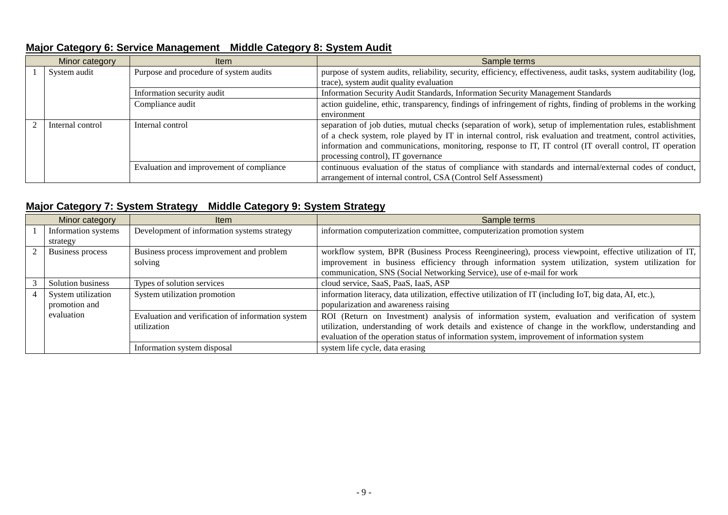| Major Category 6: Service Management Middle Category 8: System Audit |  |  |  |
|----------------------------------------------------------------------|--|--|--|
|----------------------------------------------------------------------|--|--|--|

| Minor category   | <b>Item</b>                              | Sample terms                                                                                                       |
|------------------|------------------------------------------|--------------------------------------------------------------------------------------------------------------------|
| System audit     | Purpose and procedure of system audits   | purpose of system audits, reliability, security, efficiency, effectiveness, audit tasks, system auditability (log, |
|                  |                                          | trace), system audit quality evaluation                                                                            |
|                  | Information security audit               | Information Security Audit Standards, Information Security Management Standards                                    |
|                  | Compliance audit                         | action guideline, ethic, transparency, findings of infringement of rights, finding of problems in the working      |
|                  |                                          | environment                                                                                                        |
| Internal control | Internal control                         | separation of job duties, mutual checks (separation of work), setup of implementation rules, establishment         |
|                  |                                          | of a check system, role played by IT in internal control, risk evaluation and treatment, control activities,       |
|                  |                                          | information and communications, monitoring, response to IT, IT control (IT overall control, IT operation           |
|                  |                                          | processing control), IT governance                                                                                 |
|                  | Evaluation and improvement of compliance | continuous evaluation of the status of compliance with standards and internal/external codes of conduct,           |
|                  |                                          | arrangement of internal control, CSA (Control Self Assessment)                                                     |

### **Major Category 7: System Strategy Middle Category 9: System Strategy**

| Minor category          | <b>Item</b>                                       | Sample terms                                                                                             |
|-------------------------|---------------------------------------------------|----------------------------------------------------------------------------------------------------------|
| Information systems     | Development of information systems strategy       | information computerization committee, computerization promotion system                                  |
| strategy                |                                                   |                                                                                                          |
| <b>Business process</b> | Business process improvement and problem          | workflow system, BPR (Business Process Reengineering), process viewpoint, effective utilization of IT,   |
|                         | solving                                           | improvement in business efficiency through information system utilization, system utilization for        |
|                         |                                                   | communication, SNS (Social Networking Service), use of e-mail for work                                   |
| Solution business       | Types of solution services                        | cloud service, SaaS, PaaS, IaaS, ASP                                                                     |
| System utilization      | System utilization promotion                      | information literacy, data utilization, effective utilization of IT (including IoT, big data, AI, etc.), |
| promotion and           |                                                   | popularization and awareness raising                                                                     |
| evaluation              | Evaluation and verification of information system | ROI (Return on Investment) analysis of information system, evaluation and verification of system         |
|                         | utilization                                       | utilization, understanding of work details and existence of change in the workflow, understanding and    |
|                         |                                                   | evaluation of the operation status of information system, improvement of information system              |
|                         | Information system disposal                       | system life cycle, data erasing                                                                          |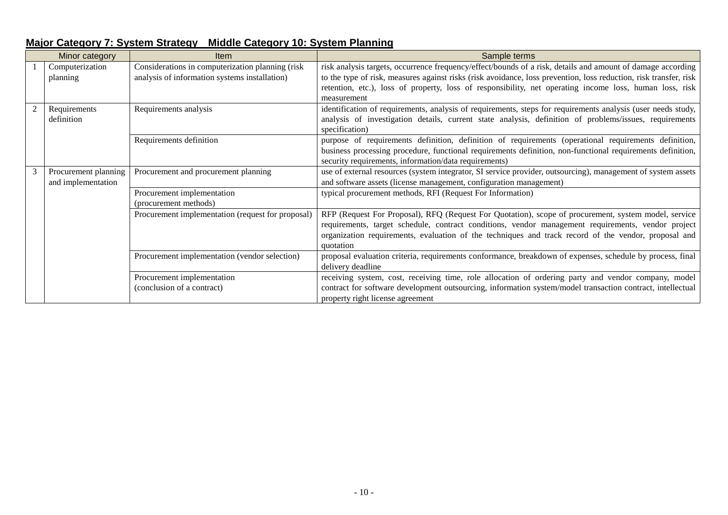|   | Minor category       | <b>Item</b>                                       | Sample terms                                                                                                      |
|---|----------------------|---------------------------------------------------|-------------------------------------------------------------------------------------------------------------------|
|   | Computerization      | Considerations in computerization planning (risk  | risk analysis targets, occurrence frequency/effect/bounds of a risk, details and amount of damage according       |
|   | planning             | analysis of information systems installation)     | to the type of risk, measures against risks (risk avoidance, loss prevention, loss reduction, risk transfer, risk |
|   |                      |                                                   | retention, etc.), loss of property, loss of responsibility, net operating income loss, human loss, risk           |
|   |                      |                                                   | measurement                                                                                                       |
|   | Requirements         | Requirements analysis                             | identification of requirements, analysis of requirements, steps for requirements analysis (user needs study,      |
|   | definition           |                                                   | analysis of investigation details, current state analysis, definition of problems/issues, requirements            |
|   |                      |                                                   | specification)                                                                                                    |
|   |                      | Requirements definition                           | purpose of requirements definition, definition of requirements (operational requirements definition,              |
|   |                      |                                                   | business processing procedure, functional requirements definition, non-functional requirements definition,        |
|   |                      |                                                   | security requirements, information/data requirements)                                                             |
| 3 | Procurement planning | Procurement and procurement planning              | use of external resources (system integrator, SI service provider, outsourcing), management of system assets      |
|   | and implementation   |                                                   | and software assets (license management, configuration management)                                                |
|   |                      | Procurement implementation                        | typical procurement methods, RFI (Request For Information)                                                        |
|   |                      | (procurement methods)                             |                                                                                                                   |
|   |                      | Procurement implementation (request for proposal) | RFP (Request For Proposal), RFQ (Request For Quotation), scope of procurement, system model, service              |
|   |                      |                                                   | requirements, target schedule, contract conditions, vendor management requirements, vendor project                |
|   |                      |                                                   | organization requirements, evaluation of the techniques and track record of the vendor, proposal and              |
|   |                      |                                                   | quotation                                                                                                         |
|   |                      | Procurement implementation (vendor selection)     | proposal evaluation criteria, requirements conformance, breakdown of expenses, schedule by process, final         |
|   |                      |                                                   | delivery deadline                                                                                                 |
|   |                      | Procurement implementation                        | receiving system, cost, receiving time, role allocation of ordering party and vendor company, model               |
|   |                      | (conclusion of a contract)                        | contract for software development outsourcing, information system/model transaction contract, intellectual        |
|   |                      |                                                   | property right license agreement                                                                                  |

### **Major Category 7: System Strategy Middle Category 10: System Planning**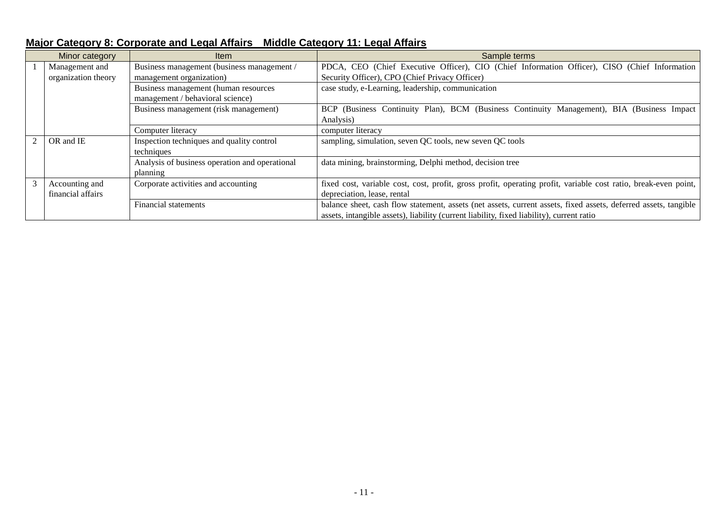|               | Minor category                        | <b>Item</b>                                                              | Sample terms                                                                                                                                                                                                 |
|---------------|---------------------------------------|--------------------------------------------------------------------------|--------------------------------------------------------------------------------------------------------------------------------------------------------------------------------------------------------------|
|               | Management and<br>organization theory | Business management (business management /<br>management organization)   | PDCA, CEO (Chief Executive Officer), CIO (Chief Information Officer), CISO (Chief Information<br>Security Officer), CPO (Chief Privacy Officer)                                                              |
|               |                                       | Business management (human resources<br>management / behavioral science) | case study, e-Learning, leadership, communication                                                                                                                                                            |
|               |                                       | Business management (risk management)                                    | BCP (Business Continuity Plan), BCM (Business Continuity Management), BIA (Business Impact<br>Analysis)                                                                                                      |
|               |                                       | Computer literacy                                                        | computer literacy                                                                                                                                                                                            |
|               | OR and IE                             | Inspection techniques and quality control<br>techniques                  | sampling, simulation, seven QC tools, new seven QC tools                                                                                                                                                     |
|               |                                       | Analysis of business operation and operational<br>planning               | data mining, brainstorming, Delphi method, decision tree                                                                                                                                                     |
| $\mathcal{R}$ | Accounting and<br>financial affairs   | Corporate activities and accounting                                      | fixed cost, variable cost, cost, profit, gross profit, operating profit, variable cost ratio, break-even point,<br>depreciation, lease, rental                                                               |
|               |                                       | Financial statements                                                     | balance sheet, cash flow statement, assets (net assets, current assets, fixed assets, deferred assets, tangible<br>assets, intangible assets), liability (current liability, fixed liability), current ratio |

# **Major Category 8: Corporate and Legal Affairs Middle Category 11: Legal Affairs**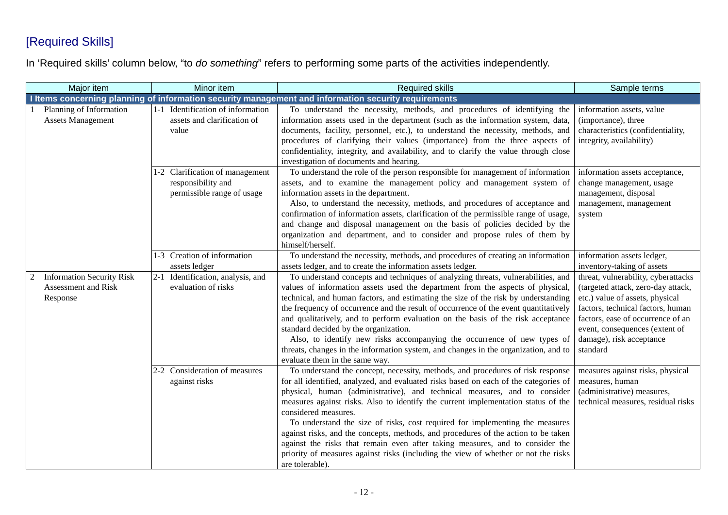# [Required Skills]

In 'Required skills' column below, "to *do something*" refers to performing some parts of the activities independently.

| Major item                                                          | Minor item                                                                          | <b>Required skills</b>                                                                                                                                                                                                                                                                                                                                                                                                                                                                                                                                                                                                                                                                                                           | Sample terms                                                                                                                                                                                                                                                     |
|---------------------------------------------------------------------|-------------------------------------------------------------------------------------|----------------------------------------------------------------------------------------------------------------------------------------------------------------------------------------------------------------------------------------------------------------------------------------------------------------------------------------------------------------------------------------------------------------------------------------------------------------------------------------------------------------------------------------------------------------------------------------------------------------------------------------------------------------------------------------------------------------------------------|------------------------------------------------------------------------------------------------------------------------------------------------------------------------------------------------------------------------------------------------------------------|
|                                                                     |                                                                                     | I Items concerning planning of information security management and information security requirements                                                                                                                                                                                                                                                                                                                                                                                                                                                                                                                                                                                                                             |                                                                                                                                                                                                                                                                  |
| Planning of Information<br><b>Assets Management</b>                 | 1-1 Identification of information<br>assets and clarification of<br>value           | To understand the necessity, methods, and procedures of identifying the<br>information assets used in the department (such as the information system, data,<br>documents, facility, personnel, etc.), to understand the necessity, methods, and<br>procedures of clarifying their values (importance) from the three aspects of<br>confidentiality, integrity, and availability, and to clarify the value through close<br>investigation of documents and hearing.                                                                                                                                                                                                                                                               | information assets, value<br>(importance), three<br>characteristics (confidentiality,<br>integrity, availability)                                                                                                                                                |
|                                                                     | 1-2 Clarification of management<br>responsibility and<br>permissible range of usage | To understand the role of the person responsible for management of information<br>assets, and to examine the management policy and management system of<br>information assets in the department.<br>Also, to understand the necessity, methods, and procedures of acceptance and<br>confirmation of information assets, clarification of the permissible range of usage,<br>and change and disposal management on the basis of policies decided by the<br>organization and department, and to consider and propose rules of them by<br>himself/herself.                                                                                                                                                                          | information assets acceptance,<br>change management, usage<br>management, disposal<br>management, management<br>system                                                                                                                                           |
|                                                                     | 1-3 Creation of information<br>assets ledger                                        | To understand the necessity, methods, and procedures of creating an information<br>assets ledger, and to create the information assets ledger.                                                                                                                                                                                                                                                                                                                                                                                                                                                                                                                                                                                   | information assets ledger,<br>inventory-taking of assets                                                                                                                                                                                                         |
| <b>Information Security Risk</b><br>Assessment and Risk<br>Response | 2-1 Identification, analysis, and<br>evaluation of risks                            | To understand concepts and techniques of analyzing threats, vulnerabilities, and<br>values of information assets used the department from the aspects of physical,<br>technical, and human factors, and estimating the size of the risk by understanding<br>the frequency of occurrence and the result of occurrence of the event quantitatively<br>and qualitatively, and to perform evaluation on the basis of the risk acceptance<br>standard decided by the organization.<br>Also, to identify new risks accompanying the occurrence of new types of<br>threats, changes in the information system, and changes in the organization, and to<br>evaluate them in the same way.                                                | threat, vulnerability, cyberattacks<br>(targeted attack, zero-day attack,<br>etc.) value of assets, physical<br>factors, technical factors, human<br>factors, ease of occurrence of an<br>event, consequences (extent of<br>damage), risk acceptance<br>standard |
|                                                                     | 2-2 Consideration of measures<br>against risks                                      | To understand the concept, necessity, methods, and procedures of risk response<br>for all identified, analyzed, and evaluated risks based on each of the categories of<br>physical, human (administrative), and technical measures, and to consider<br>measures against risks. Also to identify the current implementation status of the<br>considered measures.<br>To understand the size of risks, cost required for implementing the measures<br>against risks, and the concepts, methods, and procedures of the action to be taken<br>against the risks that remain even after taking measures, and to consider the<br>priority of measures against risks (including the view of whether or not the risks<br>are tolerable). | measures against risks, physical<br>measures, human<br>(administrative) measures,<br>technical measures, residual risks                                                                                                                                          |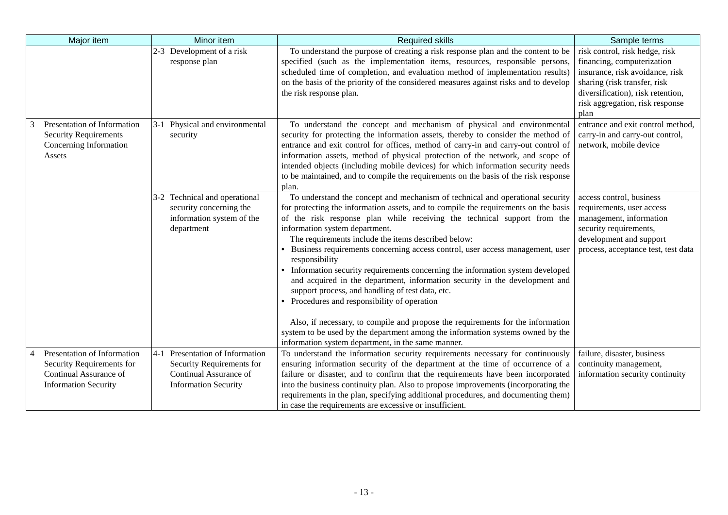| Major item                                                                                                        | Minor item                                                                                                            | <b>Required skills</b>                                                                                                                                                                                                                                                                                                                                                                                                                                                                                                                                                                                                                                                                                                                                                                                                                                                                                                                    | Sample terms                                                                                                                                                                                                    |
|-------------------------------------------------------------------------------------------------------------------|-----------------------------------------------------------------------------------------------------------------------|-------------------------------------------------------------------------------------------------------------------------------------------------------------------------------------------------------------------------------------------------------------------------------------------------------------------------------------------------------------------------------------------------------------------------------------------------------------------------------------------------------------------------------------------------------------------------------------------------------------------------------------------------------------------------------------------------------------------------------------------------------------------------------------------------------------------------------------------------------------------------------------------------------------------------------------------|-----------------------------------------------------------------------------------------------------------------------------------------------------------------------------------------------------------------|
|                                                                                                                   | 2-3 Development of a risk<br>response plan                                                                            | To understand the purpose of creating a risk response plan and the content to be<br>specified (such as the implementation items, resources, responsible persons,<br>scheduled time of completion, and evaluation method of implementation results)<br>on the basis of the priority of the considered measures against risks and to develop<br>the risk response plan.                                                                                                                                                                                                                                                                                                                                                                                                                                                                                                                                                                     | risk control, risk hedge, risk<br>financing, computerization<br>insurance, risk avoidance, risk<br>sharing (risk transfer, risk<br>diversification), risk retention,<br>risk aggregation, risk response<br>plan |
| Presentation of Information<br><b>Security Requirements</b><br>Concerning Information<br>Assets                   | 3-1 Physical and environmental<br>security                                                                            | To understand the concept and mechanism of physical and environmental<br>security for protecting the information assets, thereby to consider the method of<br>entrance and exit control for offices, method of carry-in and carry-out control of<br>information assets, method of physical protection of the network, and scope of<br>intended objects (including mobile devices) for which information security needs<br>to be maintained, and to compile the requirements on the basis of the risk response<br>plan.                                                                                                                                                                                                                                                                                                                                                                                                                    | entrance and exit control method,<br>carry-in and carry-out control,<br>network, mobile device                                                                                                                  |
|                                                                                                                   | 3-2 Technical and operational<br>security concerning the<br>information system of the<br>department                   | To understand the concept and mechanism of technical and operational security<br>for protecting the information assets, and to compile the requirements on the basis<br>of the risk response plan while receiving the technical support from the<br>information system department.<br>The requirements include the items described below:<br>Business requirements concerning access control, user access management, user<br>responsibility<br>Information security requirements concerning the information system developed<br>and acquired in the department, information security in the development and<br>support process, and handling of test data, etc.<br>Procedures and responsibility of operation<br>Also, if necessary, to compile and propose the requirements for the information<br>system to be used by the department among the information systems owned by the<br>information system department, in the same manner. | access control, business<br>requirements, user access<br>management, information<br>security requirements,<br>development and support<br>process, acceptance test, test data                                    |
| Presentation of Information<br>Security Requirements for<br>Continual Assurance of<br><b>Information Security</b> | 4-1 Presentation of Information<br>Security Requirements for<br>Continual Assurance of<br><b>Information Security</b> | To understand the information security requirements necessary for continuously<br>ensuring information security of the department at the time of occurrence of a<br>failure or disaster, and to confirm that the requirements have been incorporated<br>into the business continuity plan. Also to propose improvements (incorporating the<br>requirements in the plan, specifying additional procedures, and documenting them)<br>in case the requirements are excessive or insufficient.                                                                                                                                                                                                                                                                                                                                                                                                                                                | failure, disaster, business<br>continuity management,<br>information security continuity                                                                                                                        |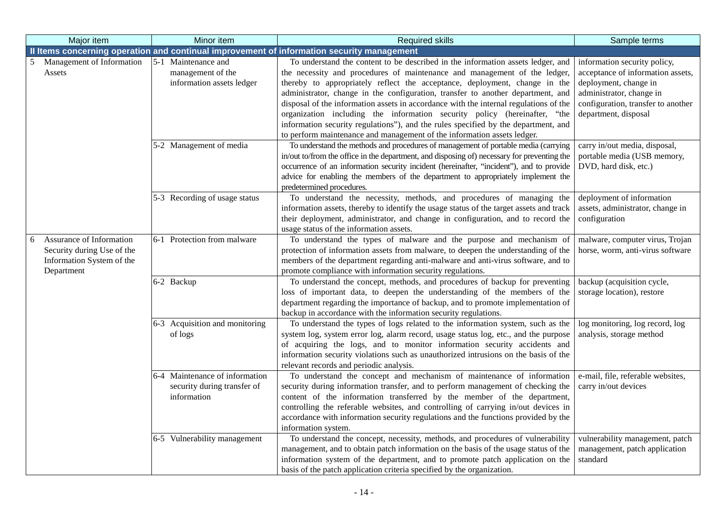| Major item                                              | Minor item                                                    | <b>Required skills</b>                                                                                                                                                                  | Sample terms                                                      |
|---------------------------------------------------------|---------------------------------------------------------------|-----------------------------------------------------------------------------------------------------------------------------------------------------------------------------------------|-------------------------------------------------------------------|
|                                                         |                                                               | Il Items concerning operation and continual improvement of information security management                                                                                              |                                                                   |
| Management of Information<br>Assets                     | 5-1 Maintenance and<br>management of the                      | To understand the content to be described in the information assets ledger, and<br>the necessity and procedures of maintenance and management of the ledger,                            | information security policy,<br>acceptance of information assets, |
|                                                         | information assets ledger                                     | thereby to appropriately reflect the acceptance, deployment, change in the<br>administrator, change in the configuration, transfer to another department, and                           | deployment, change in<br>administrator, change in                 |
|                                                         |                                                               | disposal of the information assets in accordance with the internal regulations of the                                                                                                   | configuration, transfer to another                                |
|                                                         |                                                               | organization including the information security policy (hereinafter, "the<br>information security regulations"), and the rules specified by the department, and                         | department, disposal                                              |
|                                                         |                                                               | to perform maintenance and management of the information assets ledger.                                                                                                                 |                                                                   |
|                                                         | 5-2 Management of media                                       | To understand the methods and procedures of management of portable media (carrying                                                                                                      | carry in/out media, disposal,                                     |
|                                                         |                                                               | in/out to/from the office in the department, and disposing of) necessary for preventing the<br>occurrence of an information security incident (hereinafter, "incident"), and to provide | portable media (USB memory,<br>DVD, hard disk, etc.)              |
|                                                         |                                                               | advice for enabling the members of the department to appropriately implement the                                                                                                        |                                                                   |
|                                                         |                                                               | predetermined procedures.                                                                                                                                                               |                                                                   |
|                                                         | 5-3 Recording of usage status                                 | To understand the necessity, methods, and procedures of managing the<br>information assets, thereby to identify the usage status of the target assets and track                         | deployment of information<br>assets, administrator, change in     |
|                                                         |                                                               | their deployment, administrator, and change in configuration, and to record the                                                                                                         | configuration                                                     |
|                                                         |                                                               | usage status of the information assets.                                                                                                                                                 |                                                                   |
| Assurance of Information<br>6                           | 6-1 Protection from malware                                   | To understand the types of malware and the purpose and mechanism of                                                                                                                     | malware, computer virus, Trojan                                   |
| Security during Use of the<br>Information System of the |                                                               | protection of information assets from malware, to deepen the understanding of the                                                                                                       | horse, worm, anti-virus software                                  |
| Department                                              |                                                               | members of the department regarding anti-malware and anti-virus software, and to<br>promote compliance with information security regulations.                                           |                                                                   |
|                                                         | 6-2 Backup                                                    | To understand the concept, methods, and procedures of backup for preventing                                                                                                             | backup (acquisition cycle,                                        |
|                                                         |                                                               | loss of important data, to deepen the understanding of the members of the                                                                                                               | storage location), restore                                        |
|                                                         |                                                               | department regarding the importance of backup, and to promote implementation of<br>backup in accordance with the information security regulations.                                      |                                                                   |
|                                                         | 6-3 Acquisition and monitoring                                | To understand the types of logs related to the information system, such as the                                                                                                          | log monitoring, log record, log                                   |
|                                                         | of logs                                                       | system log, system error log, alarm record, usage status log, etc., and the purpose                                                                                                     | analysis, storage method                                          |
|                                                         |                                                               | of acquiring the logs, and to monitor information security accidents and                                                                                                                |                                                                   |
|                                                         |                                                               | information security violations such as unauthorized intrusions on the basis of the                                                                                                     |                                                                   |
|                                                         |                                                               | relevant records and periodic analysis.                                                                                                                                                 |                                                                   |
|                                                         | 6-4 Maintenance of information<br>security during transfer of | To understand the concept and mechanism of maintenance of information<br>security during information transfer, and to perform management of checking the                                | e-mail, file, referable websites,<br>carry in/out devices         |
|                                                         | information                                                   | content of the information transferred by the member of the department,                                                                                                                 |                                                                   |
|                                                         |                                                               | controlling the referable websites, and controlling of carrying in/out devices in                                                                                                       |                                                                   |
|                                                         |                                                               | accordance with information security regulations and the functions provided by the                                                                                                      |                                                                   |
|                                                         | 6-5 Vulnerability management                                  | information system.<br>To understand the concept, necessity, methods, and procedures of vulnerability                                                                                   | vulnerability management, patch                                   |
|                                                         |                                                               | management, and to obtain patch information on the basis of the usage status of the                                                                                                     | management, patch application                                     |
|                                                         |                                                               | information system of the department, and to promote patch application on the                                                                                                           | standard                                                          |
|                                                         |                                                               | basis of the patch application criteria specified by the organization.                                                                                                                  |                                                                   |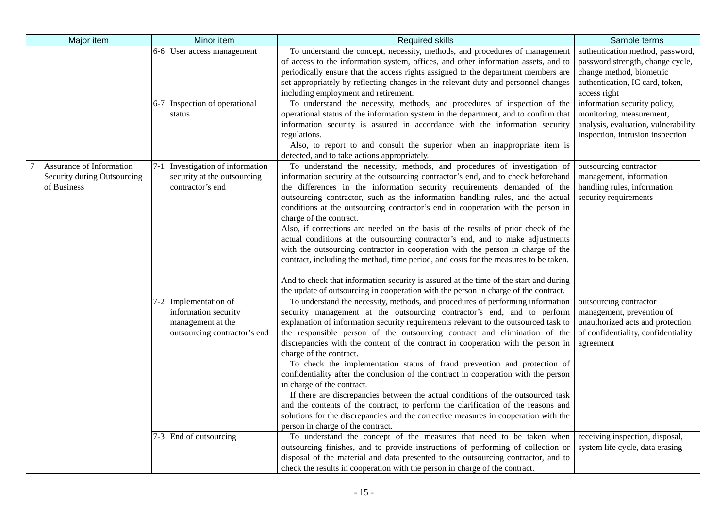| Major item                                                             | Minor item                                                                                         | <b>Required skills</b>                                                                                                                                                                                                                                                                                                                                                                                                                                                                                                                                                                                                                                                                                                                                                                                                                                                                                                                                                       | Sample terms                                                                                                                                        |
|------------------------------------------------------------------------|----------------------------------------------------------------------------------------------------|------------------------------------------------------------------------------------------------------------------------------------------------------------------------------------------------------------------------------------------------------------------------------------------------------------------------------------------------------------------------------------------------------------------------------------------------------------------------------------------------------------------------------------------------------------------------------------------------------------------------------------------------------------------------------------------------------------------------------------------------------------------------------------------------------------------------------------------------------------------------------------------------------------------------------------------------------------------------------|-----------------------------------------------------------------------------------------------------------------------------------------------------|
|                                                                        | 6-6 User access management                                                                         | To understand the concept, necessity, methods, and procedures of management<br>of access to the information system, offices, and other information assets, and to<br>periodically ensure that the access rights assigned to the department members are<br>set appropriately by reflecting changes in the relevant duty and personnel changes<br>including employment and retirement.                                                                                                                                                                                                                                                                                                                                                                                                                                                                                                                                                                                         | authentication method, password,<br>password strength, change cycle,<br>change method, biometric<br>authentication, IC card, token,<br>access right |
|                                                                        | 6-7 Inspection of operational<br>status                                                            | To understand the necessity, methods, and procedures of inspection of the<br>operational status of the information system in the department, and to confirm that<br>information security is assured in accordance with the information security<br>regulations.<br>Also, to report to and consult the superior when an inappropriate item is<br>detected, and to take actions appropriately.                                                                                                                                                                                                                                                                                                                                                                                                                                                                                                                                                                                 | information security policy,<br>monitoring, measurement,<br>analysis, evaluation, vulnerability<br>inspection, intrusion inspection                 |
| Assurance of Information<br>Security during Outsourcing<br>of Business | 7-1 Investigation of information<br>security at the outsourcing<br>contractor's end                | To understand the necessity, methods, and procedures of investigation of<br>information security at the outsourcing contractor's end, and to check beforehand<br>the differences in the information security requirements demanded of the<br>outsourcing contractor, such as the information handling rules, and the actual<br>conditions at the outsourcing contractor's end in cooperation with the person in<br>charge of the contract.<br>Also, if corrections are needed on the basis of the results of prior check of the<br>actual conditions at the outsourcing contractor's end, and to make adjustments<br>with the outsourcing contractor in cooperation with the person in charge of the<br>contract, including the method, time period, and costs for the measures to be taken.<br>And to check that information security is assured at the time of the start and during<br>the update of outsourcing in cooperation with the person in charge of the contract. | outsourcing contractor<br>management, information<br>handling rules, information<br>security requirements                                           |
|                                                                        | 7-2 Implementation of<br>information security<br>management at the<br>outsourcing contractor's end | To understand the necessity, methods, and procedures of performing information<br>security management at the outsourcing contractor's end, and to perform<br>explanation of information security requirements relevant to the outsourced task to<br>the responsible person of the outsourcing contract and elimination of the<br>discrepancies with the content of the contract in cooperation with the person in<br>charge of the contract.<br>To check the implementation status of fraud prevention and protection of<br>confidentiality after the conclusion of the contract in cooperation with the person<br>in charge of the contract.<br>If there are discrepancies between the actual conditions of the outsourced task<br>and the contents of the contract, to perform the clarification of the reasons and<br>solutions for the discrepancies and the corrective measures in cooperation with the<br>person in charge of the contract.                            | outsourcing contractor<br>management, prevention of<br>unauthorized acts and protection<br>of confidentiality, confidentiality<br>agreement         |
|                                                                        | 7-3 End of outsourcing                                                                             | To understand the concept of the measures that need to be taken when<br>outsourcing finishes, and to provide instructions of performing of collection or<br>disposal of the material and data presented to the outsourcing contractor, and to<br>check the results in cooperation with the person in charge of the contract.                                                                                                                                                                                                                                                                                                                                                                                                                                                                                                                                                                                                                                                 | receiving inspection, disposal,<br>system life cycle, data erasing                                                                                  |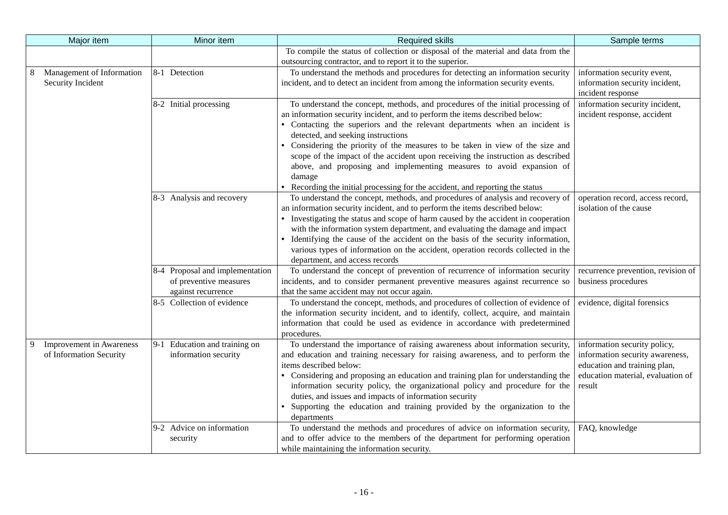|   | Major item                | Minor item                                   | <b>Required skills</b>                                                                                                                                            | Sample terms                       |
|---|---------------------------|----------------------------------------------|-------------------------------------------------------------------------------------------------------------------------------------------------------------------|------------------------------------|
|   |                           |                                              | To compile the status of collection or disposal of the material and data from the                                                                                 |                                    |
|   |                           |                                              | outsourcing contractor, and to report it to the superior.                                                                                                         |                                    |
|   | Management of Information | 8-1 Detection                                | To understand the methods and procedures for detecting an information security                                                                                    | information security event,        |
|   | Security Incident         |                                              | incident, and to detect an incident from among the information security events.                                                                                   | information security incident,     |
|   |                           |                                              |                                                                                                                                                                   | incident response                  |
|   |                           | 8-2 Initial processing                       | To understand the concept, methods, and procedures of the initial processing of                                                                                   | information security incident,     |
|   |                           |                                              | an information security incident, and to perform the items described below:                                                                                       | incident response, accident        |
|   |                           |                                              | • Contacting the superiors and the relevant departments when an incident is                                                                                       |                                    |
|   |                           |                                              | detected, and seeking instructions                                                                                                                                |                                    |
|   |                           |                                              | Considering the priority of the measures to be taken in view of the size and                                                                                      |                                    |
|   |                           |                                              | scope of the impact of the accident upon receiving the instruction as described                                                                                   |                                    |
|   |                           |                                              | above, and proposing and implementing measures to avoid expansion of                                                                                              |                                    |
|   |                           |                                              | damage                                                                                                                                                            |                                    |
|   |                           |                                              | • Recording the initial processing for the accident, and reporting the status                                                                                     |                                    |
|   |                           | 8-3 Analysis and recovery                    | To understand the concept, methods, and procedures of analysis and recovery of                                                                                    | operation record, access record,   |
|   |                           |                                              | an information security incident, and to perform the items described below:                                                                                       | isolation of the cause             |
|   |                           |                                              | • Investigating the status and scope of harm caused by the accident in cooperation                                                                                |                                    |
|   |                           |                                              | with the information system department, and evaluating the damage and impact                                                                                      |                                    |
|   |                           |                                              | • Identifying the cause of the accident on the basis of the security information,                                                                                 |                                    |
|   |                           |                                              | various types of information on the accident, operation records collected in the                                                                                  |                                    |
|   |                           |                                              | department, and access records                                                                                                                                    |                                    |
|   |                           | 8-4 Proposal and implementation              | To understand the concept of prevention of recurrence of information security                                                                                     | recurrence prevention, revision of |
|   |                           | of preventive measures<br>against recurrence | incidents, and to consider permanent preventive measures against recurrence so<br>that the same accident may not occur again.                                     | business procedures                |
|   |                           | 8-5 Collection of evidence                   | To understand the concept, methods, and procedures of collection of evidence of                                                                                   |                                    |
|   |                           |                                              |                                                                                                                                                                   | evidence, digital forensics        |
|   |                           |                                              | the information security incident, and to identify, collect, acquire, and maintain<br>information that could be used as evidence in accordance with predetermined |                                    |
|   |                           |                                              | procedures.                                                                                                                                                       |                                    |
| 9 | Improvement in Awareness  | 9-1 Education and training on                | To understand the importance of raising awareness about information security,                                                                                     | information security policy,       |
|   | of Information Security   | information security                         | and education and training necessary for raising awareness, and to perform the                                                                                    | information security awareness,    |
|   |                           |                                              | items described below:                                                                                                                                            | education and training plan,       |
|   |                           |                                              | • Considering and proposing an education and training plan for understanding the                                                                                  | education material, evaluation of  |
|   |                           |                                              | information security policy, the organizational policy and procedure for the                                                                                      | result                             |
|   |                           |                                              | duties, and issues and impacts of information security                                                                                                            |                                    |
|   |                           |                                              | • Supporting the education and training provided by the organization to the                                                                                       |                                    |
|   |                           |                                              | departments                                                                                                                                                       |                                    |
|   |                           | 9-2 Advice on information                    | To understand the methods and procedures of advice on information security,                                                                                       | FAQ, knowledge                     |
|   |                           | security                                     | and to offer advice to the members of the department for performing operation                                                                                     |                                    |
|   |                           |                                              | while maintaining the information security.                                                                                                                       |                                    |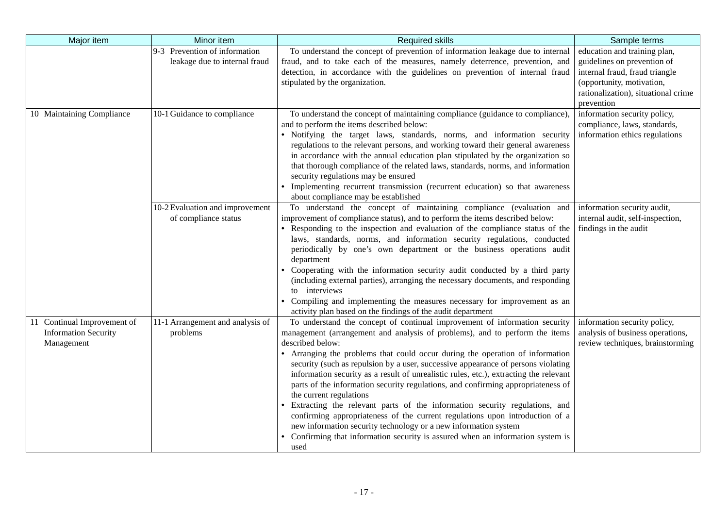| Major item                                                               | Minor item                                                     | <b>Required skills</b>                                                                                                                                                                                                                                                                                                                                                                                                                                                                                                                                                                                                                                                                                                                                                                                                                                                                  | Sample terms                                                                                                                                                                    |
|--------------------------------------------------------------------------|----------------------------------------------------------------|-----------------------------------------------------------------------------------------------------------------------------------------------------------------------------------------------------------------------------------------------------------------------------------------------------------------------------------------------------------------------------------------------------------------------------------------------------------------------------------------------------------------------------------------------------------------------------------------------------------------------------------------------------------------------------------------------------------------------------------------------------------------------------------------------------------------------------------------------------------------------------------------|---------------------------------------------------------------------------------------------------------------------------------------------------------------------------------|
|                                                                          | 9-3 Prevention of information<br>leakage due to internal fraud | To understand the concept of prevention of information leakage due to internal<br>fraud, and to take each of the measures, namely deterrence, prevention, and<br>detection, in accordance with the guidelines on prevention of internal fraud<br>stipulated by the organization.                                                                                                                                                                                                                                                                                                                                                                                                                                                                                                                                                                                                        | education and training plan,<br>guidelines on prevention of<br>internal fraud, fraud triangle<br>(opportunity, motivation,<br>rationalization), situational crime<br>prevention |
| 10 Maintaining Compliance                                                | 10-1 Guidance to compliance                                    | To understand the concept of maintaining compliance (guidance to compliance)<br>and to perform the items described below:<br>· Notifying the target laws, standards, norms, and information security<br>regulations to the relevant persons, and working toward their general awareness<br>in accordance with the annual education plan stipulated by the organization so<br>that thorough compliance of the related laws, standards, norms, and information<br>security regulations may be ensured<br>• Implementing recurrent transmission (recurrent education) so that awareness<br>about compliance may be established                                                                                                                                                                                                                                                             | information security policy,<br>compliance, laws, standards,<br>information ethics regulations                                                                                  |
|                                                                          | 10-2 Evaluation and improvement<br>of compliance status        | To understand the concept of maintaining compliance (evaluation and<br>improvement of compliance status), and to perform the items described below:<br>• Responding to the inspection and evaluation of the compliance status of the<br>laws, standards, norms, and information security regulations, conducted<br>periodically by one's own department or the business operations audit<br>department<br>• Cooperating with the information security audit conducted by a third party<br>(including external parties), arranging the necessary documents, and responding<br>to interviews<br>• Compiling and implementing the measures necessary for improvement as an<br>activity plan based on the findings of the audit department                                                                                                                                                  | information security audit,<br>internal audit, self-inspection,<br>findings in the audit                                                                                        |
| 11 Continual Improvement of<br><b>Information Security</b><br>Management | 11-1 Arrangement and analysis of<br>problems                   | To understand the concept of continual improvement of information security<br>management (arrangement and analysis of problems), and to perform the items<br>described below:<br>• Arranging the problems that could occur during the operation of information<br>security (such as repulsion by a user, successive appearance of persons violating<br>information security as a result of unrealistic rules, etc.), extracting the relevant<br>parts of the information security regulations, and confirming appropriateness of<br>the current regulations<br>• Extracting the relevant parts of the information security regulations, and<br>confirming appropriateness of the current regulations upon introduction of a<br>new information security technology or a new information system<br>Confirming that information security is assured when an information system is<br>used | information security policy,<br>analysis of business operations,<br>review techniques, brainstorming                                                                            |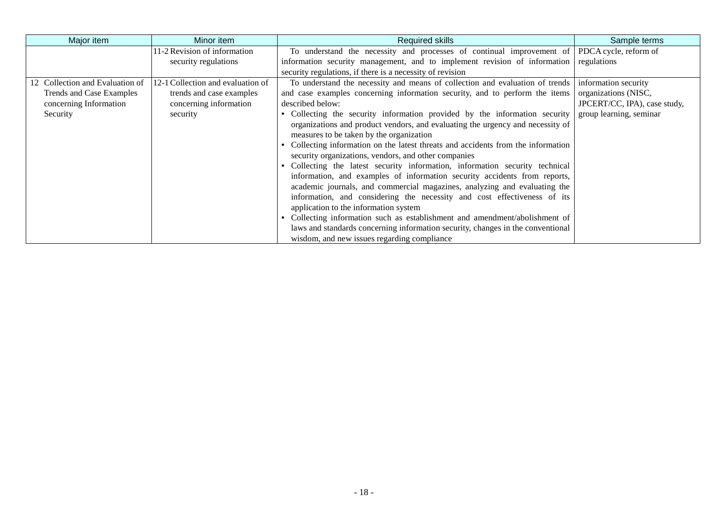| Major item                      | Minor item                        | Required skills                                                                 | Sample terms                 |
|---------------------------------|-----------------------------------|---------------------------------------------------------------------------------|------------------------------|
|                                 | 11-2 Revision of information      | To understand the necessity and processes of continual improvement of           | PDCA cycle, reform of        |
|                                 | security regulations              | information security management, and to implement revision of information       | regulations                  |
|                                 |                                   | security regulations, if there is a necessity of revision                       |                              |
| 12 Collection and Evaluation of | 12-1 Collection and evaluation of | To understand the necessity and means of collection and evaluation of trends    | information security         |
| Trends and Case Examples        | trends and case examples          | and case examples concerning information security, and to perform the items     | organizations (NISC,         |
| concerning Information          | concerning information            | described below:                                                                | JPCERT/CC, IPA), case study, |
| Security                        | security                          | Collecting the security information provided by the information security        | group learning, seminar      |
|                                 |                                   | organizations and product vendors, and evaluating the urgency and necessity of  |                              |
|                                 |                                   | measures to be taken by the organization                                        |                              |
|                                 |                                   | Collecting information on the latest threats and accidents from the information |                              |
|                                 |                                   | security organizations, vendors, and other companies                            |                              |
|                                 |                                   | Collecting the latest security information, information security technical      |                              |
|                                 |                                   | information, and examples of information security accidents from reports,       |                              |
|                                 |                                   | academic journals, and commercial magazines, analyzing and evaluating the       |                              |
|                                 |                                   | information, and considering the necessity and cost effectiveness of its        |                              |
|                                 |                                   | application to the information system                                           |                              |
|                                 |                                   | Collecting information such as establishment and amendment/abolishment of       |                              |
|                                 |                                   | laws and standards concerning information security, changes in the conventional |                              |
|                                 |                                   | wisdom, and new issues regarding compliance                                     |                              |